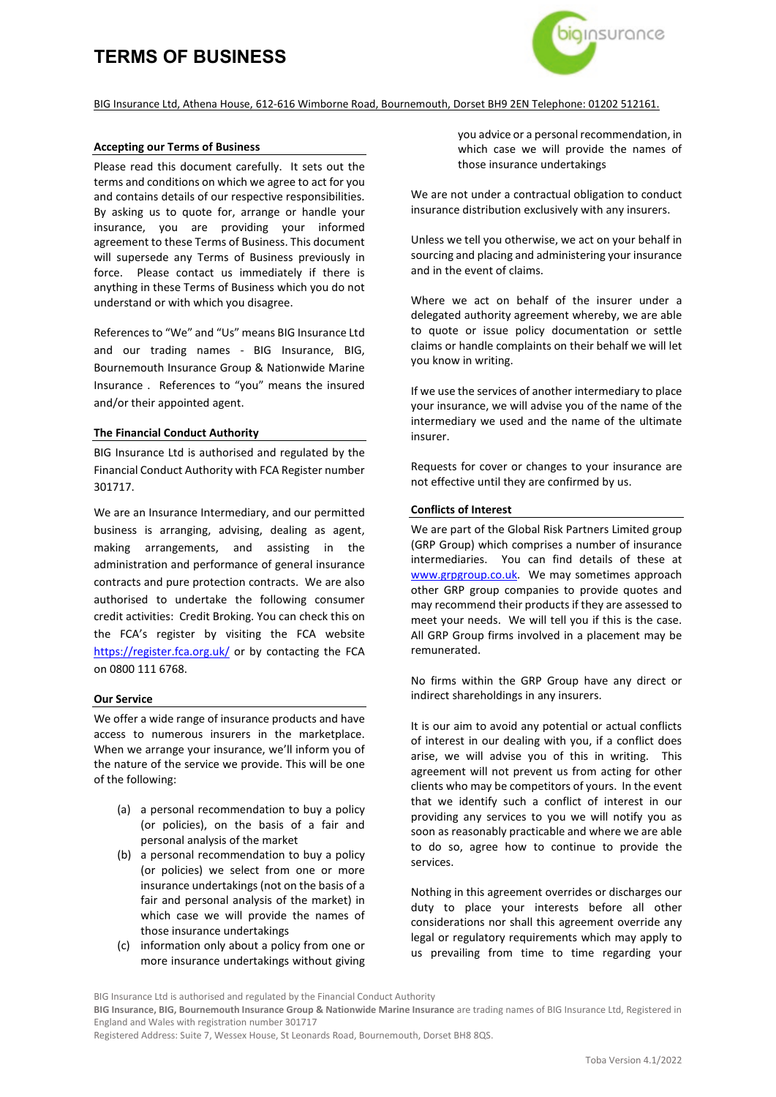# **TERMS OF BUSINESS**



# BIG Insurance Ltd, Athena House, 612-616 Wimborne Road, Bournemouth, Dorset BH9 2EN Telephone: 01202 512161.

#### **Accepting our Terms of Business**

Please read this document carefully. It sets out the terms and conditions on which we agree to act for you and contains details of our respective responsibilities. By asking us to quote for, arrange or handle your insurance, you are providing your informed agreement to these Terms of Business. This document will supersede any Terms of Business previously in force. Please contact us immediately if there is anything in these Terms of Business which you do not understand or with which you disagree.

References to "We" and "Us" means BIG Insurance Ltd and our trading names - BIG Insurance, BIG, Bournemouth Insurance Group & Nationwide Marine Insurance . References to "you" means the insured and/or their appointed agent.

#### **The Financial Conduct Authority**

BIG Insurance Ltd is authorised and regulated by the Financial Conduct Authority with FCA Register number 301717.

We are an Insurance Intermediary, and our permitted business is arranging, advising, dealing as agent, making arrangements, and assisting in the administration and performance of general insurance contracts and pure protection contracts. We are also authorised to undertake the following consumer credit activities: Credit Broking. You can check this on the FCA's register by visiting the FCA website <https://register.fca.org.uk/> or by contacting the FCA on 0800 111 6768.

#### **Our Service**

We offer a wide range of insurance products and have access to numerous insurers in the marketplace. When we arrange your insurance, we'll inform you of the nature of the service we provide. This will be one of the following:

- (a) a personal recommendation to buy a policy (or policies), on the basis of a fair and personal analysis of the market
- (b) a personal recommendation to buy a policy (or policies) we select from one or more insurance undertakings (not on the basis of a fair and personal analysis of the market) in which case we will provide the names of those insurance undertakings
- (c) information only about a policy from one or more insurance undertakings without giving

you advice or a personal recommendation, in which case we will provide the names of those insurance undertakings

We are not under a contractual obligation to conduct insurance distribution exclusively with any insurers.

Unless we tell you otherwise, we act on your behalf in sourcing and placing and administering your insurance and in the event of claims.

Where we act on behalf of the insurer under a delegated authority agreement whereby, we are able to quote or issue policy documentation or settle claims or handle complaints on their behalf we will let you know in writing.

If we use the services of another intermediary to place your insurance, we will advise you of the name of the intermediary we used and the name of the ultimate insurer.

Requests for cover or changes to your insurance are not effective until they are confirmed by us.

#### **Conflicts of Interest**

We are part of the Global Risk Partners Limited group (GRP Group) which comprises a number of insurance intermediaries. You can find details of these at [www.grpgroup.co.uk.](http://www.grpgroup.co.uk/) We may sometimes approach other GRP group companies to provide quotes and may recommend their products if they are assessed to meet your needs. We will tell you if this is the case. All GRP Group firms involved in a placement may be remunerated.

No firms within the GRP Group have any direct or indirect shareholdings in any insurers.

It is our aim to avoid any potential or actual conflicts of interest in our dealing with you, if a conflict does arise, we will advise you of this in writing. This agreement will not prevent us from acting for other clients who may be competitors of yours. In the event that we identify such a conflict of interest in our providing any services to you we will notify you as soon as reasonably practicable and where we are able to do so, agree how to continue to provide the services.

Nothing in this agreement overrides or discharges our duty to place your interests before all other considerations nor shall this agreement override any legal or regulatory requirements which may apply to us prevailing from time to time regarding your

Registered Address: Suite 7, Wessex House, St Leonards Road, Bournemouth, Dorset BH8 8QS.

BIG Insurance Ltd is authorised and regulated by the Financial Conduct Authority

**BIG Insurance, BIG, Bournemouth Insurance Group & Nationwide Marine Insurance** are trading names of BIG Insurance Ltd, Registered in England and Wales with registration number 301717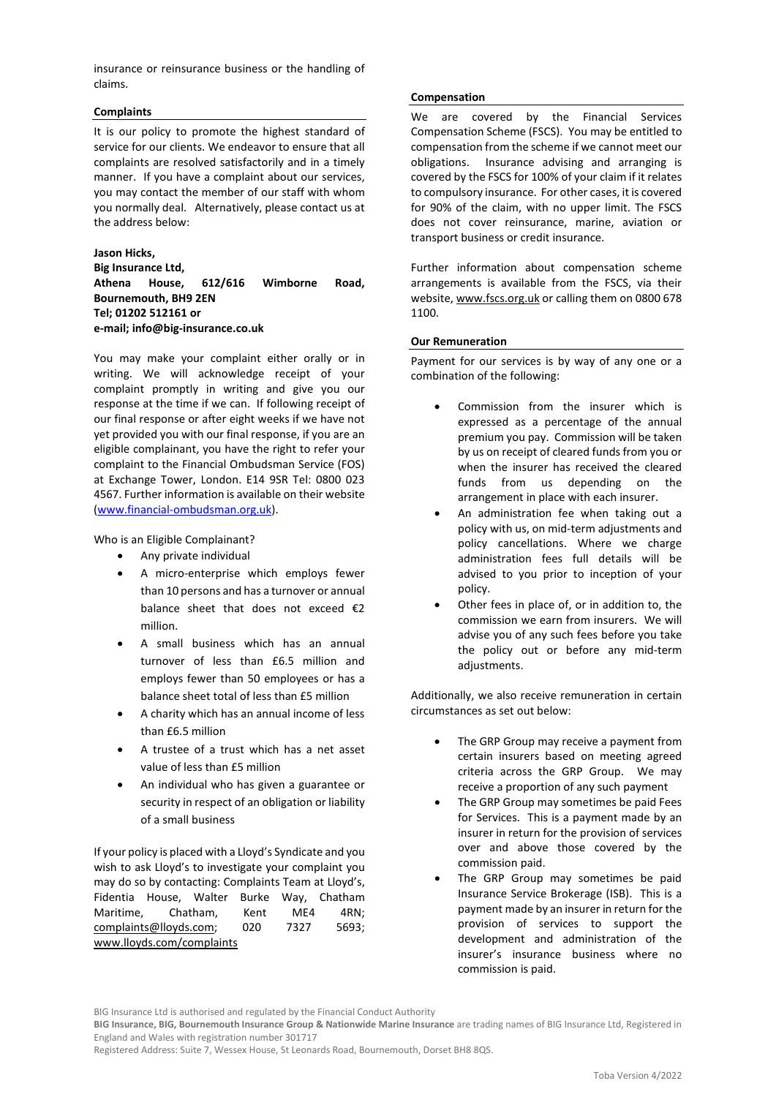insurance or reinsurance business or the handling of claims.

# **Complaints**

It is our policy to promote the highest standard of service for our clients. We endeavor to ensure that all complaints are resolved satisfactorily and in a timely manner. If you have a complaint about our services, you may contact the member of our staff with whom you normally deal. Alternatively, please contact us at the address below:

# **Jason Hicks,**

**Big Insurance Ltd, Athena House, 612/616 Wimborne Road, Bournemouth, BH9 2EN Tel; 01202 512161 or e-mail; info@big-insurance.co.uk**

You may make your complaint either orally or in writing. We will acknowledge receipt of your complaint promptly in writing and give you our response at the time if we can. If following receipt of our final response or after eight weeks if we have not yet provided you with our final response, if you are an eligible complainant, you have the right to refer your complaint to the Financial Ombudsman Service (FOS) at Exchange Tower, London. E14 9SR Tel: 0800 023 4567. Further information is available on their website [\(www.financial-ombudsman.org.uk\)](http://www.financial-ombudsman.org.uk/).

Who is an Eligible Complainant?

- Any private individual
- A micro-enterprise which employs fewer than 10 persons and has a turnover or annual balance sheet that does not exceed €2 million.
- A small business which has an annual turnover of less than £6.5 million and employs fewer than 50 employees or has a balance sheet total of less than £5 million
- A charity which has an annual income of less than £6.5 million
- A trustee of a trust which has a net asset value of less than £5 million
- An individual who has given a guarantee or security in respect of an obligation or liability of a small business

If your policy is placed with a Lloyd's Syndicate and you wish to ask Lloyd's to investigate your complaint you may do so by contacting: Complaints Team at Lloyd's, Fidentia House, Walter Burke Way, Chatham Maritime, Chatham, Kent ME4 4RN; [complaints@lloyds.com;](mailto:complaints@lloyds.com) 020 7327 5693; [www.lloyds.com/complaints](http://www.lloyds.com/complaints) 

### **Compensation**

We are covered by the Financial Services Compensation Scheme (FSCS). You may be entitled to compensation from the scheme if we cannot meet our obligations. Insurance advising and arranging is covered by the FSCS for 100% of your claim if it relates to compulsory insurance. For other cases, it is covered for 90% of the claim, with no upper limit. The FSCS does not cover reinsurance, marine, aviation or transport business or credit insurance.

Further information about compensation scheme arrangements is available from the FSCS, via their website[, www.fscs.org.uk](http://www.fscs.org.uk/) or calling them on 0800 678 1100.

# **Our Remuneration**

Payment for our services is by way of any one or a combination of the following:

- Commission from the insurer which is expressed as a percentage of the annual premium you pay. Commission will be taken by us on receipt of cleared funds from you or when the insurer has received the cleared funds from us depending on the arrangement in place with each insurer.
- An administration fee when taking out a policy with us, on mid-term adjustments and policy cancellations. Where we charge administration fees full details will be advised to you prior to inception of your policy.
- Other fees in place of, or in addition to, the commission we earn from insurers. We will advise you of any such fees before you take the policy out or before any mid-term adjustments.

Additionally, we also receive remuneration in certain circumstances as set out below:

- The GRP Group may receive a payment from certain insurers based on meeting agreed criteria across the GRP Group. We may receive a proportion of any such payment
- The GRP Group may sometimes be paid Fees for Services. This is a payment made by an insurer in return for the provision of services over and above those covered by the commission paid.
- The GRP Group may sometimes be paid Insurance Service Brokerage (ISB). This is a payment made by an insurer in return for the provision of services to support the development and administration of the insurer's insurance business where no commission is paid.

BIG Insurance Ltd is authorised and regulated by the Financial Conduct Authority

**BIG Insurance, BIG, Bournemouth Insurance Group & Nationwide Marine Insurance** are trading names of BIG Insurance Ltd, Registered in England and Wales with registration number 301717

Registered Address: Suite 7, Wessex House, St Leonards Road, Bournemouth, Dorset BH8 8QS.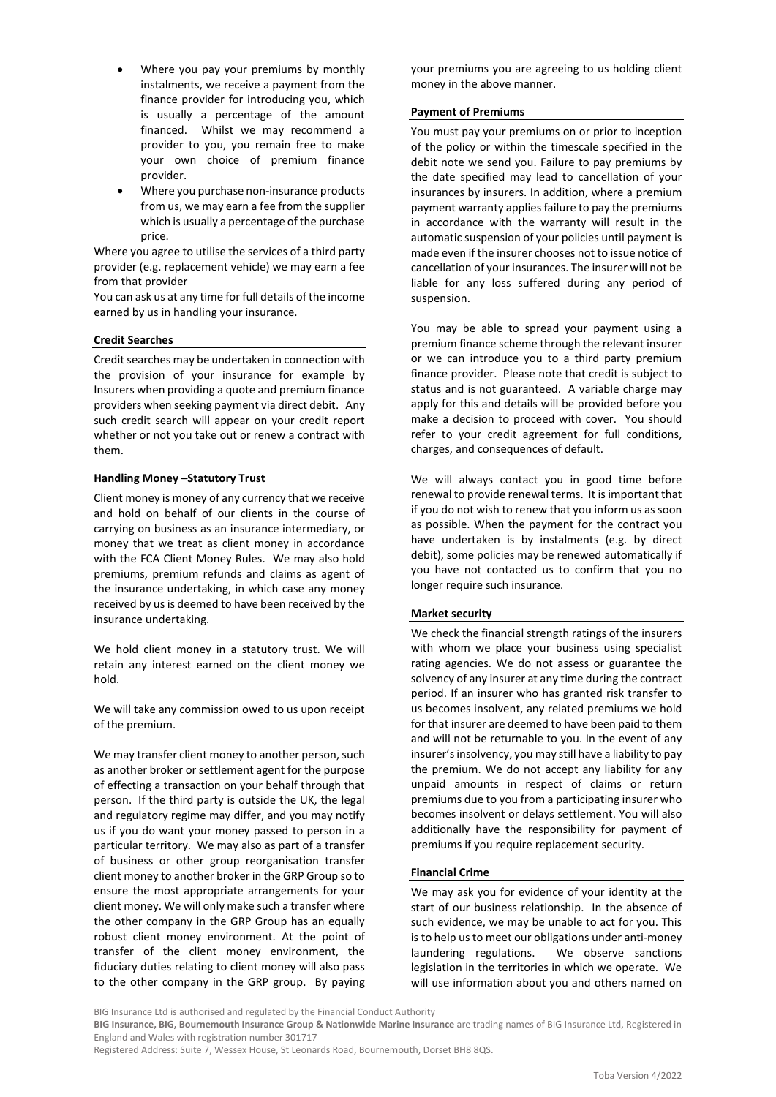- Where you pay your premiums by monthly instalments, we receive a payment from the finance provider for introducing you, which is usually a percentage of the amount financed. Whilst we may recommend a provider to you, you remain free to make your own choice of premium finance provider.
- Where you purchase non-insurance products from us, we may earn a fee from the supplier which is usually a percentage of the purchase price.

Where you agree to utilise the services of a third party provider (e.g. replacement vehicle) we may earn a fee from that provider

You can ask us at any time for full details of the income earned by us in handling your insurance.

# **Credit Searches**

Credit searches may be undertaken in connection with the provision of your insurance for example by Insurers when providing a quote and premium finance providers when seeking payment via direct debit. Any such credit search will appear on your credit report whether or not you take out or renew a contract with them.

# **Handling Money –Statutory Trust**

Client money is money of any currency that we receive and hold on behalf of our clients in the course of carrying on business as an insurance intermediary, or money that we treat as client money in accordance with the FCA Client Money Rules. We may also hold premiums, premium refunds and claims as agent of the insurance undertaking, in which case any money received by us is deemed to have been received by the insurance undertaking.

We hold client money in a statutory trust. We will retain any interest earned on the client money we hold.

We will take any commission owed to us upon receipt of the premium.

We may transfer client money to another person, such as another broker or settlement agent for the purpose of effecting a transaction on your behalf through that person. If the third party is outside the UK, the legal and regulatory regime may differ, and you may notify us if you do want your money passed to person in a particular territory. We may also as part of a transfer of business or other group reorganisation transfer client money to another broker in the GRP Group so to ensure the most appropriate arrangements for your client money. We will only make such a transfer where the other company in the GRP Group has an equally robust client money environment. At the point of transfer of the client money environment, the fiduciary duties relating to client money will also pass to the other company in the GRP group. By paying your premiums you are agreeing to us holding client money in the above manner.

# **Payment of Premiums**

You must pay your premiums on or prior to inception of the policy or within the timescale specified in the debit note we send you. Failure to pay premiums by the date specified may lead to cancellation of your insurances by insurers. In addition, where a premium payment warranty applies failure to pay the premiums in accordance with the warranty will result in the automatic suspension of your policies until payment is made even if the insurer chooses not to issue notice of cancellation of your insurances. The insurer will not be liable for any loss suffered during any period of suspension.

You may be able to spread your payment using a premium finance scheme through the relevant insurer or we can introduce you to a third party premium finance provider. Please note that credit is subject to status and is not guaranteed. A variable charge may apply for this and details will be provided before you make a decision to proceed with cover. You should refer to your credit agreement for full conditions, charges, and consequences of default.

We will always contact you in good time before renewal to provide renewal terms. It is important that if you do not wish to renew that you inform us as soon as possible. When the payment for the contract you have undertaken is by instalments (e.g. by direct debit), some policies may be renewed automatically if you have not contacted us to confirm that you no longer require such insurance.

# **Market security**

We check the financial strength ratings of the insurers with whom we place your business using specialist rating agencies. We do not assess or guarantee the solvency of any insurer at any time during the contract period. If an insurer who has granted risk transfer to us becomes insolvent, any related premiums we hold for that insurer are deemed to have been paid to them and will not be returnable to you. In the event of any insurer's insolvency, you may still have a liability to pay the premium. We do not accept any liability for any unpaid amounts in respect of claims or return premiums due to you from a participating insurer who becomes insolvent or delays settlement. You will also additionally have the responsibility for payment of premiums if you require replacement security.

# **Financial Crime**

We may ask you for evidence of your identity at the start of our business relationship. In the absence of such evidence, we may be unable to act for you. This is to help us to meet our obligations under anti-money laundering regulations. We observe sanctions legislation in the territories in which we operate. We will use information about you and others named on

BIG Insurance Ltd is authorised and regulated by the Financial Conduct Authority

**BIG Insurance, BIG, Bournemouth Insurance Group & Nationwide Marine Insurance** are trading names of BIG Insurance Ltd, Registered in England and Wales with registration number 301717

Registered Address: Suite 7, Wessex House, St Leonards Road, Bournemouth, Dorset BH8 8QS.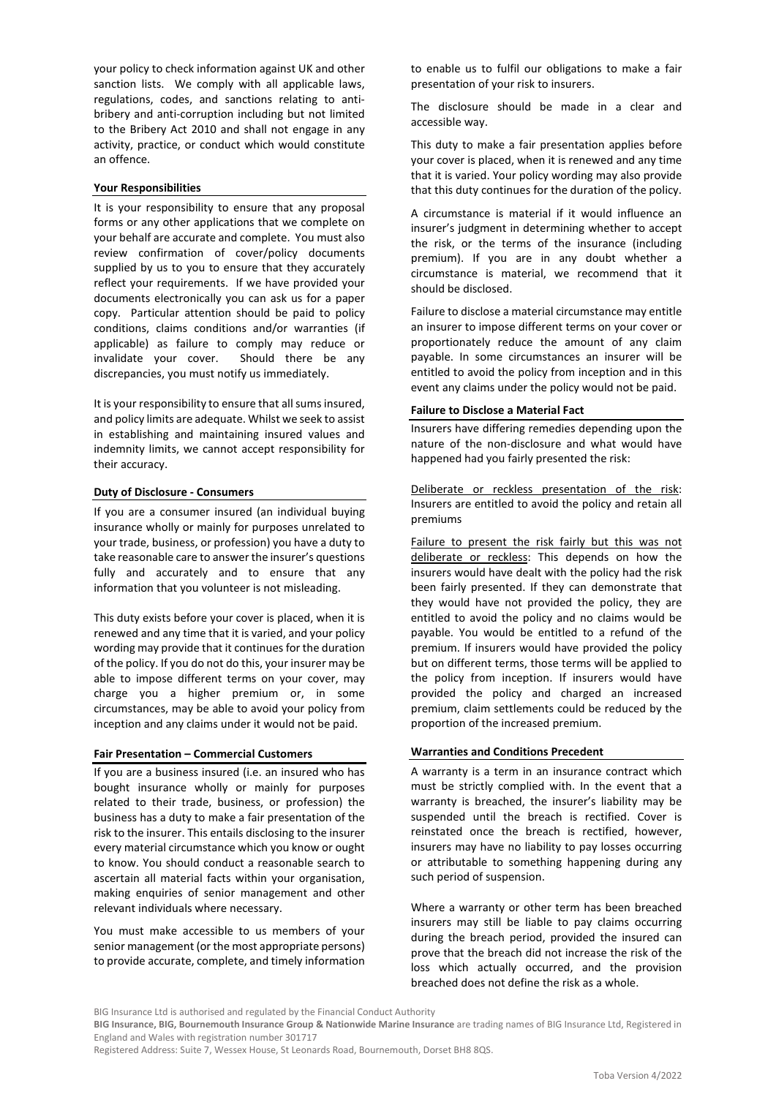your policy to check information against UK and other sanction lists. We comply with all applicable laws, regulations, codes, and sanctions relating to antibribery and anti-corruption including but not limited to the Bribery Act 2010 and shall not engage in any activity, practice, or conduct which would constitute an offence.

# **Your Responsibilities**

It is your responsibility to ensure that any proposal forms or any other applications that we complete on your behalf are accurate and complete. You must also review confirmation of cover/policy documents supplied by us to you to ensure that they accurately reflect your requirements. If we have provided your documents electronically you can ask us for a paper copy. Particular attention should be paid to policy conditions, claims conditions and/or warranties (if applicable) as failure to comply may reduce or invalidate your cover. Should there be any discrepancies, you must notify us immediately.

It is your responsibility to ensure that all sums insured, and policy limits are adequate. Whilst we seek to assist in establishing and maintaining insured values and indemnity limits, we cannot accept responsibility for their accuracy.

#### **Duty of Disclosure - Consumers**

If you are a consumer insured (an individual buying insurance wholly or mainly for purposes unrelated to your trade, business, or profession) you have a duty to take reasonable care to answer the insurer's questions fully and accurately and to ensure that any information that you volunteer is not misleading.

This duty exists before your cover is placed, when it is renewed and any time that it is varied, and your policy wording may provide that it continues for the duration of the policy. If you do not do this, your insurer may be able to impose different terms on your cover, may charge you a higher premium or, in some circumstances, may be able to avoid your policy from inception and any claims under it would not be paid.

#### **Fair Presentation – Commercial Customers**

If you are a business insured (i.e. an insured who has bought insurance wholly or mainly for purposes related to their trade, business, or profession) the business has a duty to make a fair presentation of the risk to the insurer. This entails disclosing to the insurer every material circumstance which you know or ought to know. You should conduct a reasonable search to ascertain all material facts within your organisation, making enquiries of senior management and other relevant individuals where necessary.

You must make accessible to us members of your senior management (or the most appropriate persons) to provide accurate, complete, and timely information

to enable us to fulfil our obligations to make a fair presentation of your risk to insurers.

The disclosure should be made in a clear and accessible way.

This duty to make a fair presentation applies before your cover is placed, when it is renewed and any time that it is varied. Your policy wording may also provide that this duty continues for the duration of the policy.

A circumstance is material if it would influence an insurer's judgment in determining whether to accept the risk, or the terms of the insurance (including premium). If you are in any doubt whether a circumstance is material, we recommend that it should be disclosed.

Failure to disclose a material circumstance may entitle an insurer to impose different terms on your cover or proportionately reduce the amount of any claim payable. In some circumstances an insurer will be entitled to avoid the policy from inception and in this event any claims under the policy would not be paid.

# **Failure to Disclose a Material Fact**

Insurers have differing remedies depending upon the nature of the non-disclosure and what would have happened had you fairly presented the risk:

Deliberate or reckless presentation of the risk: Insurers are entitled to avoid the policy and retain all premiums

Failure to present the risk fairly but this was not deliberate or reckless: This depends on how the insurers would have dealt with the policy had the risk been fairly presented. If they can demonstrate that they would have not provided the policy, they are entitled to avoid the policy and no claims would be payable. You would be entitled to a refund of the premium. If insurers would have provided the policy but on different terms, those terms will be applied to the policy from inception. If insurers would have provided the policy and charged an increased premium, claim settlements could be reduced by the proportion of the increased premium.

#### **Warranties and Conditions Precedent**

A warranty is a term in an insurance contract which must be strictly complied with. In the event that a warranty is breached, the insurer's liability may be suspended until the breach is rectified. Cover is reinstated once the breach is rectified, however, insurers may have no liability to pay losses occurring or attributable to something happening during any such period of suspension.

Where a warranty or other term has been breached insurers may still be liable to pay claims occurring during the breach period, provided the insured can prove that the breach did not increase the risk of the loss which actually occurred, and the provision breached does not define the risk as a whole.

**BIG Insurance, BIG, Bournemouth Insurance Group & Nationwide Marine Insurance** are trading names of BIG Insurance Ltd, Registered in England and Wales with registration number 301717

BIG Insurance Ltd is authorised and regulated by the Financial Conduct Authority

Registered Address: Suite 7, Wessex House, St Leonards Road, Bournemouth, Dorset BH8 8QS.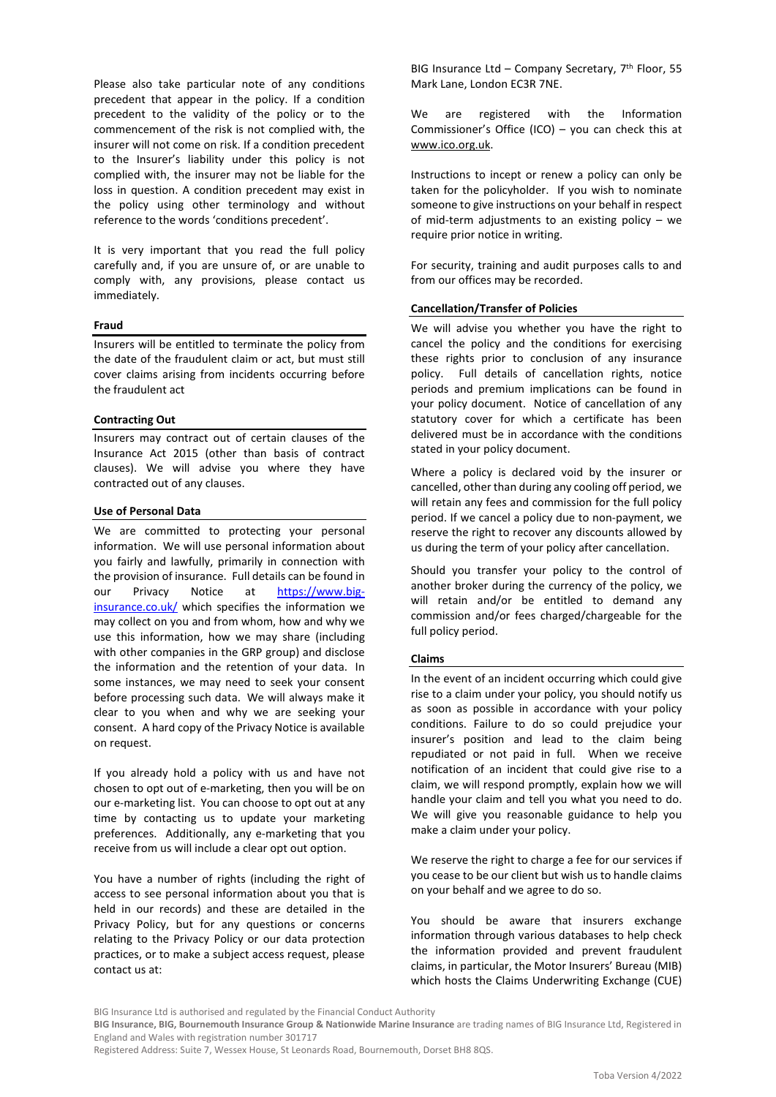Please also take particular note of any conditions precedent that appear in the policy. If a condition precedent to the validity of the policy or to the commencement of the risk is not complied with, the insurer will not come on risk. If a condition precedent to the Insurer's liability under this policy is not complied with, the insurer may not be liable for the loss in question. A condition precedent may exist in the policy using other terminology and without reference to the words 'conditions precedent'.

It is very important that you read the full policy carefully and, if you are unsure of, or are unable to comply with, any provisions, please contact us immediately.

#### **Fraud**

Insurers will be entitled to terminate the policy from the date of the fraudulent claim or act, but must still cover claims arising from incidents occurring before the fraudulent act

#### **Contracting Out**

Insurers may contract out of certain clauses of the Insurance Act 2015 (other than basis of contract clauses). We will advise you where they have contracted out of any clauses.

#### **Use of Personal Data**

We are committed to protecting your personal information. We will use personal information about you fairly and lawfully, primarily in connection with the provision of insurance. Full details can be found in our Privacy Notice at [https://www.big](https://www.big-insurance.co.uk/)[insurance.co.uk/](https://www.big-insurance.co.uk/) which specifies the information we may collect on you and from whom, how and why we use this information, how we may share (including with other companies in the GRP group) and disclose the information and the retention of your data. In some instances, we may need to seek your consent before processing such data. We will always make it clear to you when and why we are seeking your consent. A hard copy of the Privacy Notice is available on request.

If you already hold a policy with us and have not chosen to opt out of e-marketing, then you will be on our e-marketing list. You can choose to opt out at any time by contacting us to update your marketing preferences. Additionally, any e-marketing that you receive from us will include a clear opt out option.

You have a number of rights (including the right of access to see personal information about you that is held in our records) and these are detailed in the Privacy Policy, but for any questions or concerns relating to the Privacy Policy or our data protection practices, or to make a subject access request, please contact us at:

BIG Insurance Ltd – Company Secretary,  $7<sup>th</sup>$  Floor, 55 Mark Lane, London EC3R 7NE.

We are registered with the Information Commissioner's Office (ICO) – you can check this at [www.ico.org.uk.](http://www.ico.org.uk/)

Instructions to incept or renew a policy can only be taken for the policyholder. If you wish to nominate someone to give instructions on your behalf in respect of mid-term adjustments to an existing policy – we require prior notice in writing.

For security, training and audit purposes calls to and from our offices may be recorded.

### **Cancellation/Transfer of Policies**

We will advise you whether you have the right to cancel the policy and the conditions for exercising these rights prior to conclusion of any insurance policy. Full details of cancellation rights, notice periods and premium implications can be found in your policy document. Notice of cancellation of any statutory cover for which a certificate has been delivered must be in accordance with the conditions stated in your policy document.

Where a policy is declared void by the insurer or cancelled, other than during any cooling off period, we will retain any fees and commission for the full policy period. If we cancel a policy due to non-payment, we reserve the right to recover any discounts allowed by us during the term of your policy after cancellation.

Should you transfer your policy to the control of another broker during the currency of the policy, we will retain and/or be entitled to demand any commission and/or fees charged/chargeable for the full policy period.

#### **Claims**

In the event of an incident occurring which could give rise to a claim under your policy, you should notify us as soon as possible in accordance with your policy conditions. Failure to do so could prejudice your insurer's position and lead to the claim being repudiated or not paid in full. When we receive notification of an incident that could give rise to a claim, we will respond promptly, explain how we will handle your claim and tell you what you need to do. We will give you reasonable guidance to help you make a claim under your policy.

We reserve the right to charge a fee for our services if you cease to be our client but wish us to handle claims on your behalf and we agree to do so.

You should be aware that insurers exchange information through various databases to help check the information provided and prevent fraudulent claims, in particular, the Motor Insurers' Bureau (MIB) which hosts the Claims Underwriting Exchange (CUE)

BIG Insurance Ltd is authorised and regulated by the Financial Conduct Authority

**BIG Insurance, BIG, Bournemouth Insurance Group & Nationwide Marine Insurance** are trading names of BIG Insurance Ltd, Registered in England and Wales with registration number 301717

Registered Address: Suite 7, Wessex House, St Leonards Road, Bournemouth, Dorset BH8 8QS.